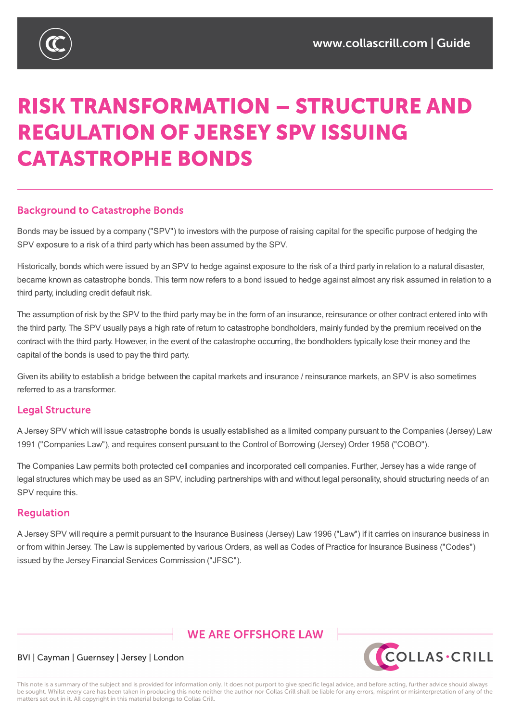

# **RISK TRANSFORMATION - STRUCTURE AND REGULATION OF JERSEY SPV ISSUING CATASTROPHE BONDS**

### **Background to Catastrophe Bonds**

Bonds may be issued by a company ("SPV") to investors with the purpose of raising capital for the specific purpose of hedging the SPV exposure to a risk of a third party which has been assumed by the SPV.

Historically, bonds which were issued by an SPV to hedge against exposure to the risk of a third party in relation to a natural disaster, became known as catastrophe bonds. This term now refers to a bond issued to hedge against almost any risk assumed in relation to a third party, including credit default risk.

The assumption of risk by the SPV to the third party may be in the form of an insurance, reinsurance or other contract entered into with the third party. The SPV usually pays a high rate of return to catastrophe bondholders, mainly funded by the premium received on the contract with the third party. However, in the event of the catastrophe occurring, the bondholders typically lose their money and the capital of the bonds is used to pay the third party.

Given its ability to establish a bridge between the capital markets and insurance / reinsurance markets, an SPV is also sometimes referred to as a transformer.

#### **Legal Structure**

A Jersey SPV which will issue catastrophe bonds is usually established as a limited company pursuant to the Companies (Jersey) Law 1991 ("Companies Law"), and requires consent pursuant to the Control of Borrowing (Jersey) Order 1958 ("COBO").

The Companies Law permits both protected cell companies and incorporated cell companies. Further, Jersey has a wide range of legal structures which may be used as an SPV, including partnerships with and without legal personality, should structuring needs of an SPV require this.

#### **Requlation**

A Jersey SPV will require a permit pursuant to the Insurance Business (Jersey) Law 1996 ("Law") if it carries on insurance business in or from within Jersey. The Law is supplemented by various Orders, as well as Codes of Practice for Insurance Business ("Codes") issued by the Jersey Financial Services Commission ("JFSC").

## **WE ARE OFFSHORE LAW**



#### BVI | Cayman | Guernsey | Jersey | London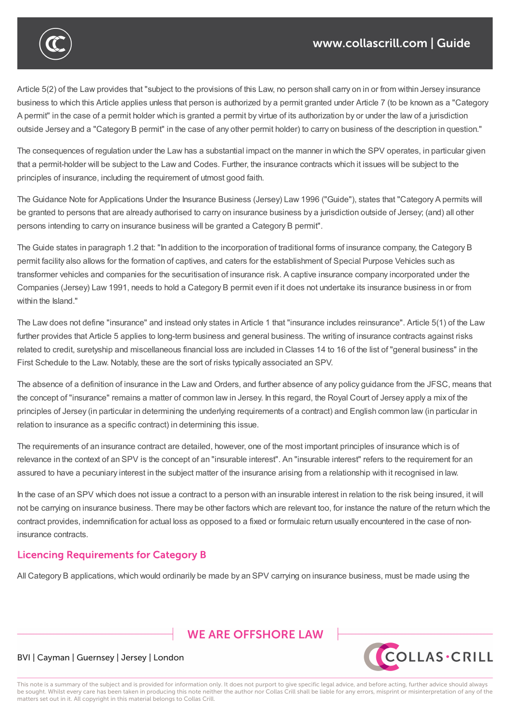

Article 5(2) of the Law provides that "subject to the provisions of this Law, no person shall carry on in or from within Jersey insurance business to which this Article applies unless that person is authorized by a permit granted under Article 7 (to be known as a "Category A permit" in the case of a permit holder which is granted a permit by virtue of its authorization by or under the law of a jurisdiction outside Jersey and a "Category B permit" in the case of any other permit holder) to carry on business of the description in question."

The consequences of regulation under the Law has a substantial impact on the manner in which the SPV operates, in particular given that a permit-holder will be subject to the Law and Codes. Further, the insurance contracts which it issues will be subject to the principles of insurance, including the requirement of utmost good faith.

The Guidance Note for Applications Under the Insurance Business (Jersey) Law 1996 ("Guide"), states that "Category A permits will be granted to persons that are already authorised to carry on insurance business by a jurisdiction outside of Jersey; (and) all other persons intending to carry on insurance business will be granted a Category B permit".

The Guide states in paragraph 1.2 that: "In addition to the incorporation of traditional forms of insurance company, the Category B permit facility also allows for the formation of captives, and caters for the establishment of Special Purpose Vehicles such as transformer vehicles and companies for the securitisation of insurance risk. A captive insurance company incorporated under the Companies (Jersey) Law 1991, needs to hold a Category B permit even if it does not undertake its insurance business in or from within the Island."

The Law does not define "insurance" and instead only states in Article 1 that "insurance includes reinsurance". Article 5(1) of the Law further provides that Article 5 applies to long-term business and general business. The writing of insurance contracts against risks related to credit, suretyship and miscellaneous financial loss are included in Classes 14 to 16 of the list of "general business" in the First Schedule to the Law. Notably, these are the sort of risks typically associated an SPV.

The absence of a definition of insurance in the Law and Orders, and further absence of any policy guidance from the JFSC, means that the concept of "insurance" remains a matter of common law in Jersey. In this regard, the Royal Court of Jersey apply a mix of the principles of Jersey (in particular in determining the underlying requirements of a contract) and English common law (in particular in relation to insurance as a specific contract) in determining this issue.

The requirements of an insurance contract are detailed, however, one of the most important principles of insurance which is of relevance in the context of an SPV is the concept of an "insurable interest". An "insurable interest" refers to the requirement for an assured to have a pecuniary interest in the subject matter of the insurance arising from a relationship with it recognised in law.

In the case of an SPV which does not issue a contract to a person with an insurable interest in relation to the risk being insured, it will not be carrying on insurance business. There may be other factors which are relevant too, for instance the nature of the return which the contract provides, indemnification for actual loss as opposed to a fixed or formulaic return usually encountered in the case of noninsurance contracts.

## **Licencing Requirements for Category B**

All Category B applications, which would ordinarily be made by an SPV carrying on insurance business, must be made using the

## **WE ARE OFFSHORE I AW**



#### BVI | Cayman | Guernsey | Jersey | London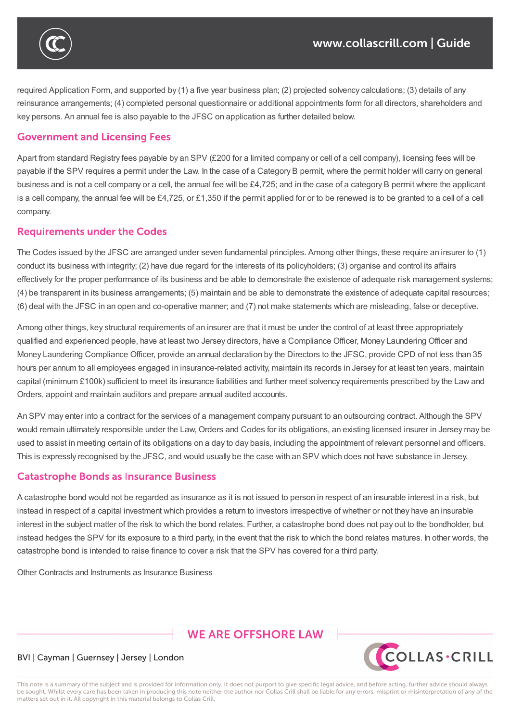required Application Form, and supported by (1) a five year business plan; (2) projected solvency calculations; (3) details of any reinsurance arrangements; (4) completed personal questionnaire or additional appointments form for all directors, shareholders and key persons. An annual fee is also payable to the JFSC on application as further detailed below.

 $A$ l Category B applications, which would ordinarily be made by an  $S$ PV carrying on insurance business, must be made using the made using the made using the must be made using the must be made using the must be made usin

contract provides, indemnification for actual loss as opposed to a fixed or formulaic return usually encountered in the case of non-

#### **Government and Licensing Fees**

insurance contracts.

Apart from standard Registry fees payable by an SPV (£200 for a limited company or cell of a cell company), licensing fees will be payable if the SPV requires a permit under the Law. In the case of a Category B permit, where the permit holder will carry on general business and is not a cell company or a cell, the annual fee will be £4,725; and in the case of a category B permit where the applicant is a cell company, the annual fee will be £4,725, or £1,350 if the permit applied for or to be renewed is to be granted to a cell of a cell company.

#### **Requirements under the Codes**

The Codes issued by the JFSC are arranged under seven fundamental principles. Among other things, these require an insurer to (1) conduct its business with integrity; (2) have due regard for the interests of its policyholders; (3) organise and control its affairs effectively for the proper performance of its business and be able to demonstrate the existence of adequate risk management systems; (4) be transparent in its business arrangements; (5) maintain and be able to demonstrate the existence of adequate capital resources; (6) deal with the JFSC in an open and co-operative manner; and (7) not make statements which are misleading, false or deceptive.

Among other things, key structural requirements of an insurer are that it must be under the control of at least three appropriately qualified and experienced people, have at least two Jersey directors, have a Compliance Officer, Money Laundering Officer and Money Laundering Compliance Officer, provide an annual declaration by the Directors to the JFSC, provide CPD of not less than 35 hours per annum to all employees engaged in insurance-related activity, maintain its records in Jersey for at least ten years, maintain capital (minimum £100k) sufficient to meet its insurance liabilities and further meet solvency requirements prescribed by the Law and Orders, appoint and maintain auditors and prepare annual audited accounts.

An SPV may enter into a contract for the services of a management company pursuant to an outsourcing contract. Although the SPV would remain ultimately responsible under the Law, Orders and Codes for its obligations, an existing licensed insurer in Jersey may be used to assist in meeting certain of its obligations on a day to day basis, including the appointment of relevant personnel and officers. This is expressly recognised by the JFSC, and would usually be the case with an SPV which does not have substance in Jersey.

#### **Catastrophe Bonds as Insurance Business**

A catastrophe bond would not be regarded as insurance as it is not issued to person in respect of an insurable interest in a risk, but instead in respect of a capital investment which provides a return to investors irrespective of whether or not they have an insurable interest in the subject matter of the risk to which the bond relates. Further, a catastrophe bond does not pay out to the bondholder, but instead hedges the SPV for its exposure to a third party, in the event that the risk to which the bond relates matures. In other words, the catastrophe bond is intended to raise finance to cover a risk that the SPV has covered for a third party.

Other Contracts and Instruments as Insurance Business

## **WE ARE OFFSHORE I AW**



#### BVI | Cayman | Guernsey | Jersey | London